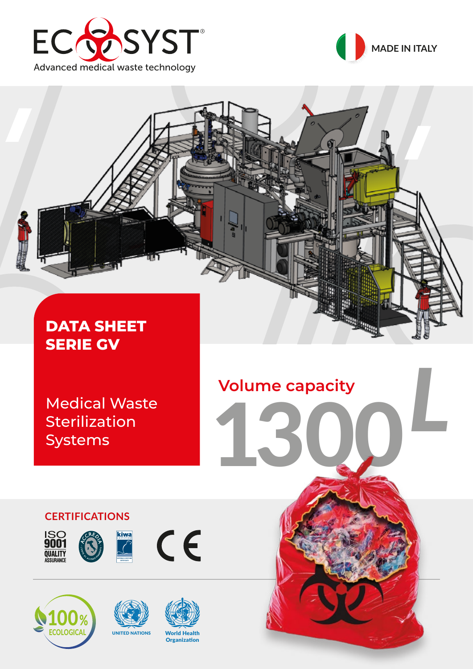





Medical Waste **Sterilization** Systems

# *L* **Volume capacity** 1300

**CERTIFICATIONS**



100% **ECOLOGICAL** 









CE